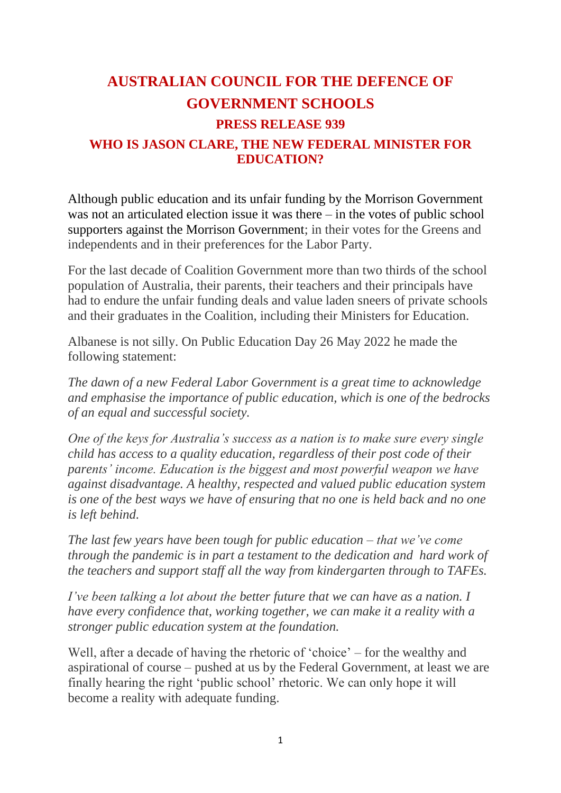# **AUSTRALIAN COUNCIL FOR THE DEFENCE OF GOVERNMENT SCHOOLS PRESS RELEASE 939 WHO IS JASON CLARE, THE NEW FEDERAL MINISTER FOR EDUCATION?**

Although public education and its unfair funding by the Morrison Government was not an articulated election issue it was there – in the votes of public school supporters against the Morrison Government; in their votes for the Greens and independents and in their preferences for the Labor Party.

For the last decade of Coalition Government more than two thirds of the school population of Australia, their parents, their teachers and their principals have had to endure the unfair funding deals and value laden sneers of private schools and their graduates in the Coalition, including their Ministers for Education.

Albanese is not silly. On Public Education Day 26 May 2022 he made the following statement:

*The dawn of a new Federal Labor Government is a great time to acknowledge and emphasise the importance of public education, which is one of the bedrocks of an equal and successful society.* 

*One of the keys for Australia's success as a nation is to make sure every single child has access to a quality education, regardless of their post code of their parents' income. Education is the biggest and most powerful weapon we have against disadvantage. A healthy, respected and valued public education system is one of the best ways we have of ensuring that no one is held back and no one is left behind.* 

*The last few years have been tough for public education – that we've come through the pandemic is in part a testament to the dedication and hard work of the teachers and support staff all the way from kindergarten through to TAFEs.*

*I've been talking a lot about the better future that we can have as a nation. I have every confidence that, working together, we can make it a reality with a stronger public education system at the foundation.* 

Well, after a decade of having the rhetoric of 'choice' – for the wealthy and aspirational of course – pushed at us by the Federal Government, at least we are finally hearing the right 'public school' rhetoric. We can only hope it will become a reality with adequate funding.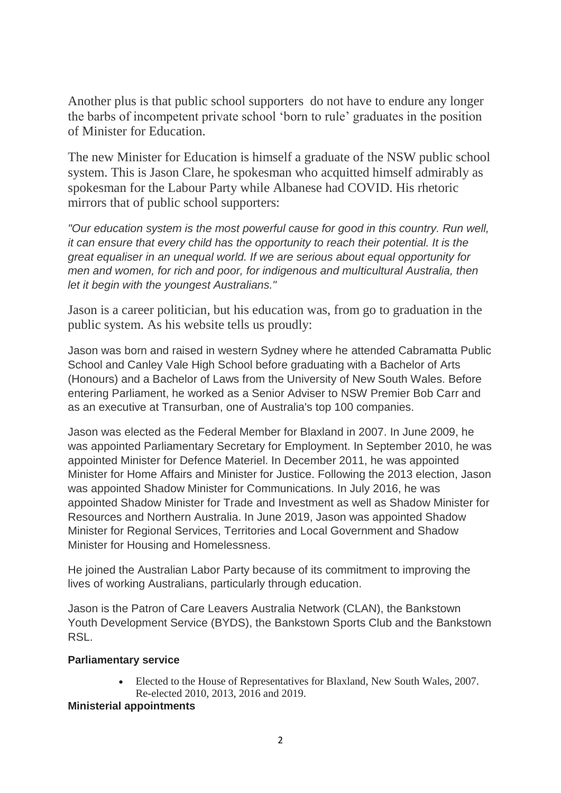Another plus is that public school supporters do not have to endure any longer the barbs of incompetent private school 'born to rule' graduates in the position of Minister for Education.

The new Minister for Education is himself a graduate of the NSW public school system. This is Jason Clare, he spokesman who acquitted himself admirably as spokesman for the Labour Party while Albanese had COVID. His rhetoric mirrors that of public school supporters:

*"Our education system is the most powerful cause for good in this country. Run well, it can ensure that every child has the opportunity to reach their potential. It is the great equaliser in an unequal world. If we are serious about equal opportunity for men and women, for rich and poor, for indigenous and multicultural Australia, then let it begin with the youngest Australians."*

Jason is a career politician, but his education was, from go to graduation in the public system. As his website tells us proudly:

Jason was born and raised in western Sydney where he attended Cabramatta Public School and Canley Vale High School before graduating with a Bachelor of Arts (Honours) and a Bachelor of Laws from the University of New South Wales. Before entering Parliament, he worked as a Senior Adviser to NSW Premier Bob Carr and as an executive at Transurban, one of Australia's top 100 companies.

Jason was elected as the Federal Member for Blaxland in 2007. In June 2009, he was appointed Parliamentary Secretary for Employment. In September 2010, he was appointed Minister for Defence Materiel. In December 2011, he was appointed Minister for Home Affairs and Minister for Justice. Following the 2013 election, Jason was appointed Shadow Minister for Communications. In July 2016, he was appointed Shadow Minister for Trade and Investment as well as Shadow Minister for Resources and Northern Australia. In June 2019, Jason was appointed Shadow Minister for Regional Services, Territories and Local Government and Shadow Minister for Housing and Homelessness.

He joined the Australian Labor Party because of its commitment to improving the lives of working Australians, particularly through education.

Jason is the Patron of Care Leavers Australia Network (CLAN), the Bankstown Youth Development Service (BYDS), the Bankstown Sports Club and the Bankstown RSL.

## **Parliamentary service**

 Elected to the House of Representatives for Blaxland, New South Wales, 2007. Re-elected 2010, 2013, 2016 and 2019.

## **Ministerial appointments**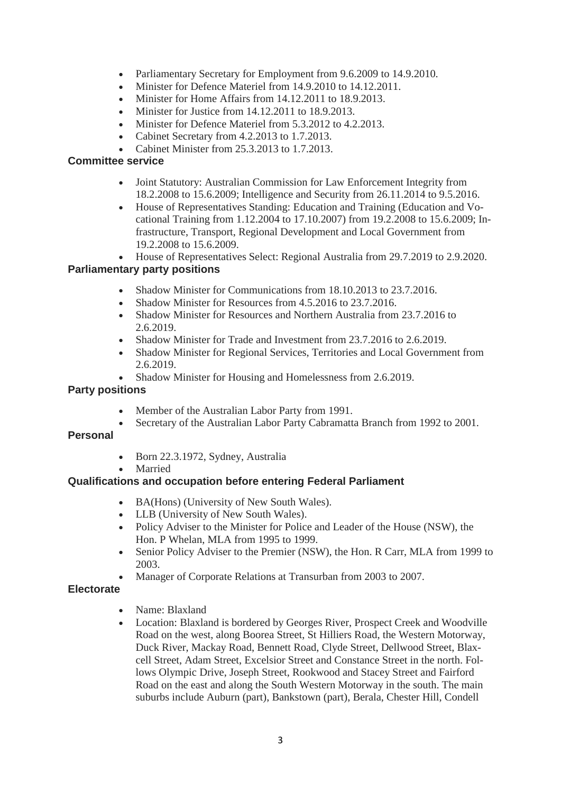- Parliamentary Secretary for Employment from 9.6.2009 to 14.9.2010.
- Minister for Defence Materiel from 14.9.2010 to 14.12.2011.
- Minister for Home Affairs from 14.12.2011 to 18.9.2013.
- Minister for Justice from 14.12.2011 to 18.9.2013.
- Minister for Defence Materiel from 5.3.2012 to 4.2.2013.
- Cabinet Secretary from 4.2.2013 to 1.7.2013.
- Cabinet Minister from 25.3.2013 to 1.7.2013.

#### **Committee service**

- Joint Statutory: Australian Commission for Law Enforcement Integrity from 18.2.2008 to 15.6.2009; Intelligence and Security from 26.11.2014 to 9.5.2016.
- House of Representatives Standing: Education and Training (Education and Vocational Training from 1.12.2004 to 17.10.2007) from 19.2.2008 to 15.6.2009; Infrastructure, Transport, Regional Development and Local Government from 19.2.2008 to 15.6.2009.
- House of Representatives Select: Regional Australia from 29.7.2019 to 2.9.2020.

## **Parliamentary party positions**

- Shadow Minister for Communications from 18.10.2013 to 23.7.2016.
- Shadow Minister for Resources from 4.5.2016 to 23.7.2016.
- Shadow Minister for Resources and Northern Australia from 23.7.2016 to 2.6.2019.
- Shadow Minister for Trade and Investment from 23.7.2016 to 2.6.2019.
- Shadow Minister for Regional Services, Territories and Local Government from 2.6.2019.
- Shadow Minister for Housing and Homelessness from 2.6.2019.

#### **Party positions**

- Member of the Australian Labor Party from 1991.
- Secretary of the Australian Labor Party Cabramatta Branch from 1992 to 2001.

## **Personal**

- $\bullet$  Born 22.3.1972, Sydney, Australia
- Married

## **Qualifications and occupation before entering Federal Parliament**

- BA(Hons) (University of New South Wales).
- LLB (University of New South Wales).
- Policy Adviser to the Minister for Police and Leader of the House (NSW), the Hon. P Whelan, MLA from 1995 to 1999.
- Senior Policy Adviser to the Premier (NSW), the Hon. R Carr, MLA from 1999 to 2003.
- Manager of Corporate Relations at Transurban from 2003 to 2007.

## **Electorate**

- Name: Blaxland
- Location: Blaxland is bordered by Georges River, Prospect Creek and Woodville Road on the west, along Boorea Street, St Hilliers Road, the Western Motorway, Duck River, Mackay Road, Bennett Road, Clyde Street, Dellwood Street, Blaxcell Street, Adam Street, Excelsior Street and Constance Street in the north. Follows Olympic Drive, Joseph Street, Rookwood and Stacey Street and Fairford Road on the east and along the South Western Motorway in the south. The main suburbs include Auburn (part), Bankstown (part), Berala, Chester Hill, Condell